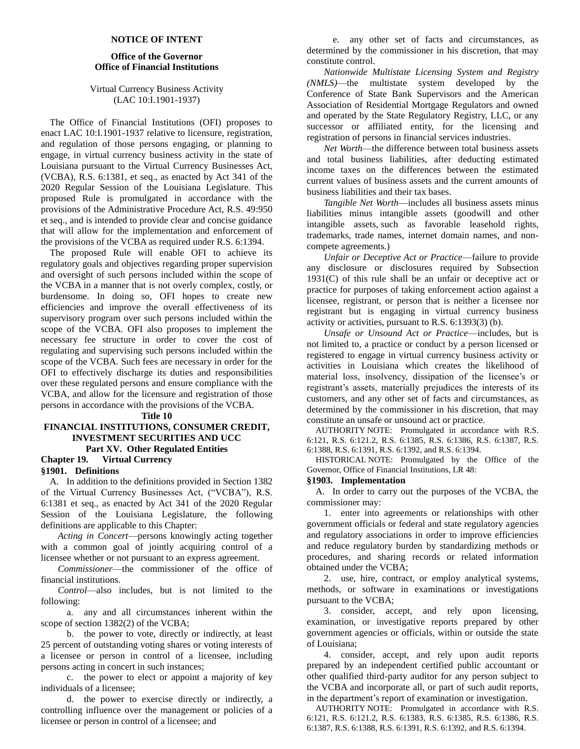#### **NOTICE OF INTENT**

# **Office of the Governor Office of Financial Institutions**

# Virtual Currency Business Activity (LAC 10:I.1901-1937)

The Office of Financial Institutions (OFI) proposes to enact LAC 10:I.1901-1937 relative to licensure, registration, and regulation of those persons engaging, or planning to engage, in virtual currency business activity in the state of Louisiana pursuant to the Virtual Currency Businesses Act, (VCBA), R.S. 6:1381, et seq., as enacted by Act 341 of the 2020 Regular Session of the Louisiana Legislature. This proposed Rule is promulgated in accordance with the provisions of the Administrative Procedure Act, R.S. 49:950 et seq., and is intended to provide clear and concise guidance that will allow for the implementation and enforcement of the provisions of the VCBA as required under R.S. 6:1394.

The proposed Rule will enable OFI to achieve its regulatory goals and objectives regarding proper supervision and oversight of such persons included within the scope of the VCBA in a manner that is not overly complex, costly, or burdensome. In doing so, OFI hopes to create new efficiencies and improve the overall effectiveness of its supervisory program over such persons included within the scope of the VCBA. OFI also proposes to implement the necessary fee structure in order to cover the cost of regulating and supervising such persons included within the scope of the VCBA. Such fees are necessary in order for the OFI to effectively discharge its duties and responsibilities over these regulated persons and ensure compliance with the VCBA, and allow for the licensure and registration of those persons in accordance with the provisions of the VCBA.

**Title 10**

# **FINANCIAL INSTITUTIONS, CONSUMER CREDIT, INVESTMENT SECURITIES AND UCC Part XV. Other Regulated Entities**

# **Chapter 19. Virtual Currency §1901. Definitions**

A. In addition to the definitions provided in Section 1382 of the Virtual Currency Businesses Act, ("VCBA"), R.S. 6:1381 et seq., as enacted by Act 341 of the 2020 Regular Session of the Louisiana Legislature, the following definitions are applicable to this Chapter:

*Acting in Concert*—persons knowingly acting together with a common goal of jointly acquiring control of a licensee whether or not pursuant to an express agreement.

*Commissioner*—the commissioner of the office of financial institutions.

*Control*—also includes, but is not limited to the following:

a. any and all circumstances inherent within the scope of section 1382(2) of the VCBA;

b. the power to vote, directly or indirectly, at least 25 percent of outstanding voting shares or voting interests of a licensee or person in control of a licensee, including persons acting in concert in such instances;

c. the power to elect or appoint a majority of key individuals of a licensee;

d. the power to exercise directly or indirectly, a controlling influence over the management or policies of a licensee or person in control of a licensee; and

e. any other set of facts and circumstances, as determined by the commissioner in his discretion, that may constitute control.

*Nationwide Multistate Licensing System and Registry (NMLS)*—the multistate system developed by the Conference of State Bank Supervisors and the American Association of Residential Mortgage Regulators and owned and operated by the State Regulatory Registry, LLC, or any successor or affiliated entity, for the licensing and registration of persons in financial services industries.

*Net Worth*—the difference between total business assets and total business liabilities, after deducting estimated income taxes on the differences between the estimated current values of business assets and the current amounts of business liabilities and their tax bases.

*Tangible Net Worth*—includes all business assets minus liabilities minus intangible assets (goodwill and other intangible assets, such as favorable leasehold rights, trademarks, trade names, internet domain names, and noncompete agreements.)

*Unfair or Deceptive Act or Practice*—failure to provide any disclosure or disclosures required by Subsection  $1931(C)$  of this rule shall be an unfair or deceptive act or practice for purposes of taking enforcement action against a licensee, registrant, or person that is neither a licensee nor registrant but is engaging in virtual currency business activity or activities, pursuant to R.S. 6:1393(3) (b).

*Unsafe or Unsound Act or Practice*—includes, but is not limited to, a practice or conduct by a person licensed or registered to engage in virtual currency business activity or activities in Louisiana which creates the likelihood of material loss, insolvency, dissipation of the licensee's or registrant's assets, materially prejudices the interests of its customers, and any other set of facts and circumstances, as determined by the commissioner in his discretion, that may constitute an unsafe or unsound act or practice.

AUTHORITY NOTE: Promulgated in accordance with R.S. 6:121, R.S. 6:121.2, R.S. 6:1385, R.S. 6:1386, R.S. 6:1387, R.S. 6:1388, R.S. 6:1391, R.S. 6:1392, and R.S. 6:1394.

HISTORICAL NOTE: Promulgated by the Office of the Governor, Office of Financial Institutions, LR 48:

### **§1903. Implementation**

A. In order to carry out the purposes of the VCBA, the commissioner may:

1. enter into agreements or relationships with other government officials or federal and state regulatory agencies and regulatory associations in order to improve efficiencies and reduce regulatory burden by standardizing methods or procedures, and sharing records or related information obtained under the VCBA;

2. use, hire, contract, or employ analytical systems, methods, or software in examinations or investigations pursuant to the VCBA;

3. consider, accept, and rely upon licensing, examination, or investigative reports prepared by other government agencies or officials, within or outside the state of Louisiana;

4. consider, accept, and rely upon audit reports prepared by an independent certified public accountant or other qualified third-party auditor for any person subject to the VCBA and incorporate all, or part of such audit reports, in the department's report of examination or investigation.

AUTHORITY NOTE: Promulgated in accordance with R.S. 6:121, R.S. 6:121.2, R.S. 6:1383, R.S. 6:1385, R.S. 6:1386, R.S. 6:1387, R.S. 6:1388, R.S. 6:1391, R.S. 6:1392, and R.S. 6:1394.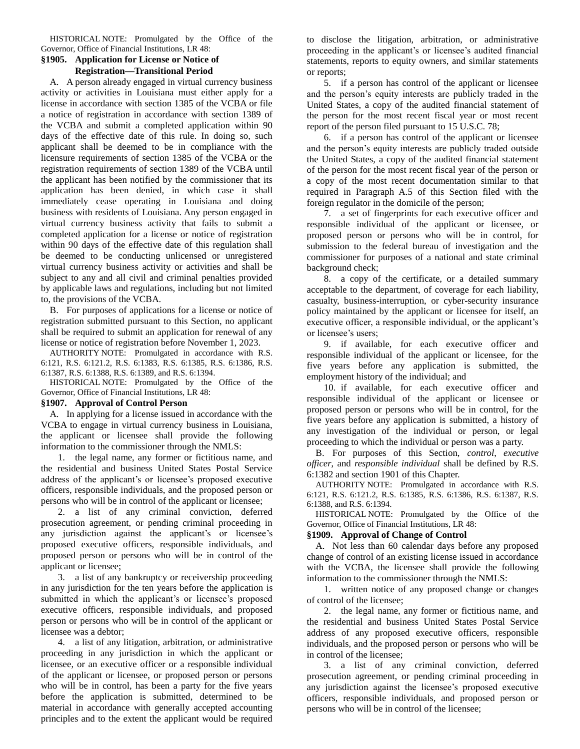HISTORICAL NOTE: Promulgated by the Office of the Governor, Office of Financial Institutions, LR 48:

# **§1905. Application for License or Notice of Registration—Transitional Period**

A. A person already engaged in virtual currency business activity or activities in Louisiana must either apply for a license in accordance with section 1385 of the VCBA or file a notice of registration in accordance with section 1389 of the VCBA and submit a completed application within 90 days of the effective date of this rule. In doing so, such applicant shall be deemed to be in compliance with the licensure requirements of section 1385 of the VCBA or the registration requirements of section 1389 of the VCBA until the applicant has been notified by the commissioner that its application has been denied, in which case it shall immediately cease operating in Louisiana and doing business with residents of Louisiana. Any person engaged in virtual currency business activity that fails to submit a completed application for a license or notice of registration within 90 days of the effective date of this regulation shall be deemed to be conducting unlicensed or unregistered virtual currency business activity or activities and shall be subject to any and all civil and criminal penalties provided by applicable laws and regulations, including but not limited to, the provisions of the VCBA.

B. For purposes of applications for a license or notice of registration submitted pursuant to this Section, no applicant shall be required to submit an application for renewal of any license or notice of registration before November 1, 2023.

AUTHORITY NOTE: Promulgated in accordance with R.S. 6:121, R.S. 6:121.2, R.S. 6:1383, R.S. 6:1385, R.S. 6:1386, R.S. 6:1387, R.S. 6:1388, R.S. 6:1389, and R.S. 6:1394.

HISTORICAL NOTE: Promulgated by the Office of the Governor, Office of Financial Institutions, LR 48:

# **§1907. Approval of Control Person**

A. In applying for a license issued in accordance with the VCBA to engage in virtual currency business in Louisiana, the applicant or licensee shall provide the following information to the commissioner through the NMLS:

1. the legal name, any former or fictitious name, and the residential and business United States Postal Service address of the applicant's or licensee's proposed executive officers, responsible individuals, and the proposed person or persons who will be in control of the applicant or licensee;

2. a list of any criminal conviction, deferred prosecution agreement, or pending criminal proceeding in any jurisdiction against the applicant's or licensee's proposed executive officers, responsible individuals, and proposed person or persons who will be in control of the applicant or licensee;

3. a list of any bankruptcy or receivership proceeding in any jurisdiction for the ten years before the application is submitted in which the applicant's or licensee's proposed executive officers, responsible individuals, and proposed person or persons who will be in control of the applicant or licensee was a debtor;

4. a list of any litigation, arbitration, or administrative proceeding in any jurisdiction in which the applicant or licensee, or an executive officer or a responsible individual of the applicant or licensee, or proposed person or persons who will be in control, has been a party for the five years before the application is submitted, determined to be material in accordance with generally accepted accounting principles and to the extent the applicant would be required to disclose the litigation, arbitration, or administrative proceeding in the applicant's or licensee's audited financial statements, reports to equity owners, and similar statements or reports;

5. if a person has control of the applicant or licensee and the person's equity interests are publicly traded in the United States, a copy of the audited financial statement of the person for the most recent fiscal year or most recent report of the person filed pursuant to 15 U.S.C. 78;

6. if a person has control of the applicant or licensee and the person's equity interests are publicly traded outside the United States, a copy of the audited financial statement of the person for the most recent fiscal year of the person or a copy of the most recent documentation similar to that required in Paragraph A.5 of this Section filed with the foreign regulator in the domicile of the person;

7. a set of fingerprints for each executive officer and responsible individual of the applicant or licensee, or proposed person or persons who will be in control, for submission to the federal bureau of investigation and the commissioner for purposes of a national and state criminal background check;

8. a copy of the certificate, or a detailed summary acceptable to the department, of coverage for each liability, casualty, business-interruption, or cyber-security insurance policy maintained by the applicant or licensee for itself, an executive officer, a responsible individual, or the applicant's or licensee's users;

9. if available, for each executive officer and responsible individual of the applicant or licensee, for the five years before any application is submitted, the employment history of the individual; and

10. if available, for each executive officer and responsible individual of the applicant or licensee or proposed person or persons who will be in control, for the five years before any application is submitted, a history of any investigation of the individual or person, or legal proceeding to which the individual or person was a party.

B. For purposes of this Section, *control*, *executive officer*, and *responsible individual* shall be defined by R.S. 6:1382 and section 1901 of this Chapter.

AUTHORITY NOTE: Promulgated in accordance with R.S. 6:121, R.S. 6:121.2, R.S. 6:1385, R.S. 6:1386, R.S. 6:1387, R.S. 6:1388, and R.S. 6:1394.

HISTORICAL NOTE: Promulgated by the Office of the Governor, Office of Financial Institutions, LR 48:

# **§1909. Approval of Change of Control**

A. Not less than 60 calendar days before any proposed change of control of an existing license issued in accordance with the VCBA, the licensee shall provide the following information to the commissioner through the NMLS:

1. written notice of any proposed change or changes of control of the licensee;

2. the legal name, any former or fictitious name, and the residential and business United States Postal Service address of any proposed executive officers, responsible individuals, and the proposed person or persons who will be in control of the licensee;

3. a list of any criminal conviction, deferred prosecution agreement, or pending criminal proceeding in any jurisdiction against the licensee's proposed executive officers, responsible individuals, and proposed person or persons who will be in control of the licensee;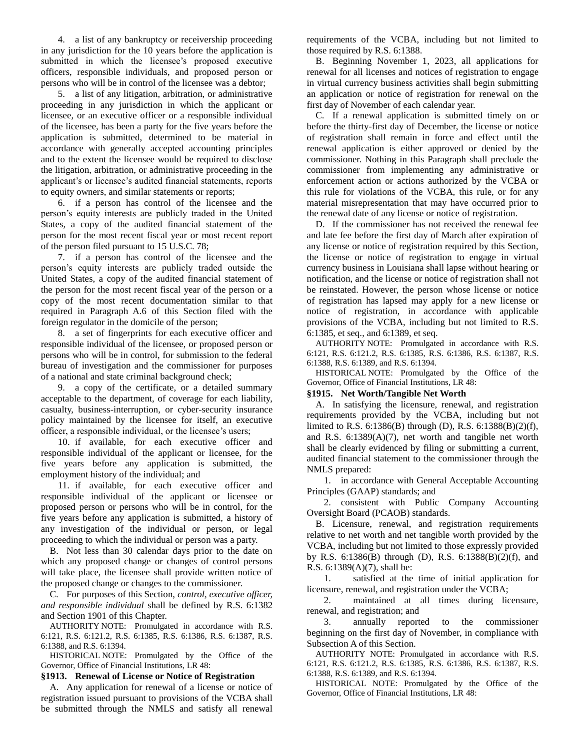4. a list of any bankruptcy or receivership proceeding in any jurisdiction for the 10 years before the application is submitted in which the licensee's proposed executive officers, responsible individuals, and proposed person or persons who will be in control of the licensee was a debtor;

5. a list of any litigation, arbitration, or administrative proceeding in any jurisdiction in which the applicant or licensee, or an executive officer or a responsible individual of the licensee, has been a party for the five years before the application is submitted, determined to be material in accordance with generally accepted accounting principles and to the extent the licensee would be required to disclose the litigation, arbitration, or administrative proceeding in the applicant's or licensee's audited financial statements, reports to equity owners, and similar statements or reports;

6. if a person has control of the licensee and the person's equity interests are publicly traded in the United States, a copy of the audited financial statement of the person for the most recent fiscal year or most recent report of the person filed pursuant to 15 U.S.C. 78;

7. if a person has control of the licensee and the person's equity interests are publicly traded outside the United States, a copy of the audited financial statement of the person for the most recent fiscal year of the person or a copy of the most recent documentation similar to that required in Paragraph A.6 of this Section filed with the foreign regulator in the domicile of the person;

8. a set of fingerprints for each executive officer and responsible individual of the licensee, or proposed person or persons who will be in control, for submission to the federal bureau of investigation and the commissioner for purposes of a national and state criminal background check;

9. a copy of the certificate, or a detailed summary acceptable to the department, of coverage for each liability, casualty, business-interruption, or cyber-security insurance policy maintained by the licensee for itself, an executive officer, a responsible individual, or the licensee's users;

10. if available, for each executive officer and responsible individual of the applicant or licensee, for the five years before any application is submitted, the employment history of the individual; and

11. if available, for each executive officer and responsible individual of the applicant or licensee or proposed person or persons who will be in control, for the five years before any application is submitted, a history of any investigation of the individual or person, or legal proceeding to which the individual or person was a party.

B. Not less than 30 calendar days prior to the date on which any proposed change or changes of control persons will take place, the licensee shall provide written notice of the proposed change or changes to the commissioner.

C. For purposes of this Section, *control, executive officer, and responsible individual* shall be defined by R.S. 6:1382 and Section 1901 of this Chapter.

AUTHORITY NOTE: Promulgated in accordance with R.S. 6:121, R.S. 6:121.2, R.S. 6:1385, R.S. 6:1386, R.S. 6:1387, R.S. 6:1388, and R.S. 6:1394.

HISTORICAL NOTE: Promulgated by the Office of the Governor, Office of Financial Institutions, LR 48:

# **§1913. Renewal of License or Notice of Registration**

A. Any application for renewal of a license or notice of registration issued pursuant to provisions of the VCBA shall be submitted through the NMLS and satisfy all renewal requirements of the VCBA, including but not limited to those required by R.S. 6:1388.

B. Beginning November 1, 2023, all applications for renewal for all licenses and notices of registration to engage in virtual currency business activities shall begin submitting an application or notice of registration for renewal on the first day of November of each calendar year.

C. If a renewal application is submitted timely on or before the thirty-first day of December, the license or notice of registration shall remain in force and effect until the renewal application is either approved or denied by the commissioner. Nothing in this Paragraph shall preclude the commissioner from implementing any administrative or enforcement action or actions authorized by the VCBA or this rule for violations of the VCBA, this rule, or for any material misrepresentation that may have occurred prior to the renewal date of any license or notice of registration.

D. If the commissioner has not received the renewal fee and late fee before the first day of March after expiration of any license or notice of registration required by this Section, the license or notice of registration to engage in virtual currency business in Louisiana shall lapse without hearing or notification, and the license or notice of registration shall not be reinstated. However, the person whose license or notice of registration has lapsed may apply for a new license or notice of registration, in accordance with applicable provisions of the VCBA, including but not limited to R.S. 6:1385, et seq., and 6:1389, et seq.

AUTHORITY NOTE: Promulgated in accordance with R.S. 6:121, R.S. 6:121.2, R.S. 6:1385, R.S. 6:1386, R.S. 6:1387, R.S. 6:1388, R.S. 6:1389, and R.S. 6:1394.

HISTORICAL NOTE: Promulgated by the Office of the Governor, Office of Financial Institutions, LR 48:

# **§1915. Net Worth/Tangible Net Worth**

A. In satisfying the licensure, renewal, and registration requirements provided by the VCBA, including but not limited to R.S. 6:1386(B) through (D), R.S. 6:1388(B)(2)(f), and R.S. 6:1389(A)(7), net worth and tangible net worth shall be clearly evidenced by filing or submitting a current, audited financial statement to the commissioner through the NMLS prepared:

1. in accordance with General Acceptable Accounting Principles (GAAP) standards; and

2. consistent with Public Company Accounting Oversight Board (PCAOB) standards.

B. Licensure, renewal, and registration requirements relative to net worth and net tangible worth provided by the VCBA, including but not limited to those expressly provided by R.S. 6:1386(B) through (D), R.S. 6:1388(B)(2)(f), and R.S. 6:1389(A)(7), shall be:

1. satisfied at the time of initial application for licensure, renewal, and registration under the VCBA;

2. maintained at all times during licensure, renewal, and registration; and

3. annually reported to the commissioner beginning on the first day of November, in compliance with Subsection A of this Section.

AUTHORITY NOTE: Promulgated in accordance with R.S. 6:121, R.S. 6:121.2, R.S. 6:1385, R.S. 6:1386, R.S. 6:1387, R.S. 6:1388, R.S. 6:1389, and R.S. 6:1394.

HISTORICAL NOTE: Promulgated by the Office of the Governor, Office of Financial Institutions, LR 48: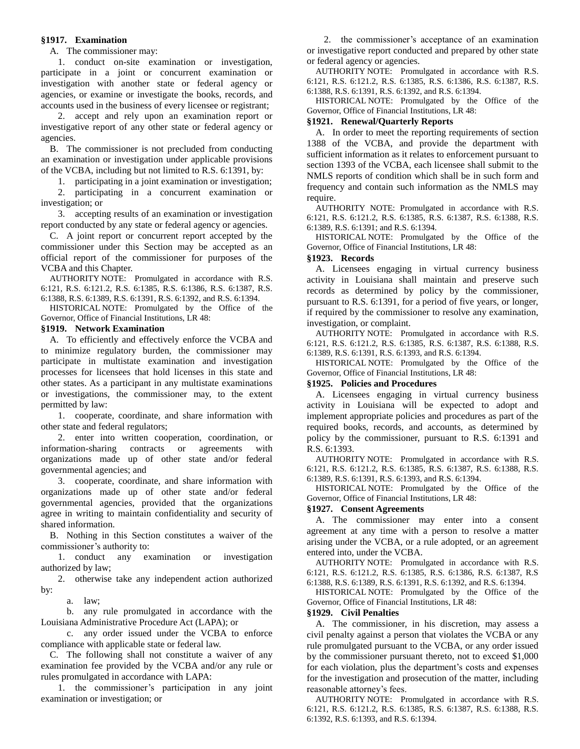# **§1917. Examination**

A. The commissioner may:

1. conduct on-site examination or investigation, participate in a joint or concurrent examination or investigation with another state or federal agency or agencies, or examine or investigate the books, records, and accounts used in the business of every licensee or registrant;

2. accept and rely upon an examination report or investigative report of any other state or federal agency or agencies.

B. The commissioner is not precluded from conducting an examination or investigation under applicable provisions of the VCBA, including but not limited to R.S. 6:1391, by:

1. participating in a joint examination or investigation;

2. participating in a concurrent examination or investigation; or

3. accepting results of an examination or investigation report conducted by any state or federal agency or agencies.

C. A joint report or concurrent report accepted by the commissioner under this Section may be accepted as an official report of the commissioner for purposes of the VCBA and this Chapter.

AUTHORITY NOTE: Promulgated in accordance with R.S. 6:121, R.S. 6:121.2, R.S. 6:1385, R.S. 6:1386, R.S. 6:1387, R.S. 6:1388, R.S. 6:1389, R.S. 6:1391, R.S. 6:1392, and R.S. 6:1394.

HISTORICAL NOTE: Promulgated by the Office of the Governor, Office of Financial Institutions, LR 48:

### **§1919. Network Examination**

A. To efficiently and effectively enforce the VCBA and to minimize regulatory burden, the commissioner may participate in multistate examination and investigation processes for licensees that hold licenses in this state and other states. As a participant in any multistate examinations or investigations, the commissioner may, to the extent permitted by law:

1. cooperate, coordinate, and share information with other state and federal regulators;

2. enter into written cooperation, coordination, or information-sharing contracts or agreements with organizations made up of other state and/or federal governmental agencies; and

3. cooperate, coordinate, and share information with organizations made up of other state and/or federal governmental agencies, provided that the organizations agree in writing to maintain confidentiality and security of shared information.

B. Nothing in this Section constitutes a waiver of the commissioner's authority to:

1. conduct any examination or investigation authorized by law;

2. otherwise take any independent action authorized by:

a. law;

b. any rule promulgated in accordance with the Louisiana Administrative Procedure Act (LAPA); or

c. any order issued under the VCBA to enforce compliance with applicable state or federal law.

C. The following shall not constitute a waiver of any examination fee provided by the VCBA and/or any rule or rules promulgated in accordance with LAPA:

1. the commissioner's participation in any joint examination or investigation; or

2. the commissioner's acceptance of an examination or investigative report conducted and prepared by other state or federal agency or agencies.

AUTHORITY NOTE: Promulgated in accordance with R.S. 6:121, R.S. 6:121.2, R.S. 6:1385, R.S. 6:1386, R.S. 6:1387, R.S. 6:1388, R.S. 6:1391, R.S. 6:1392, and R.S. 6:1394.

HISTORICAL NOTE: Promulgated by the Office of the Governor, Office of Financial Institutions, LR 48:

#### **§1921. Renewal/Quarterly Reports**

A. In order to meet the reporting requirements of section 1388 of the VCBA, and provide the department with sufficient information as it relates to enforcement pursuant to section 1393 of the VCBA, each licensee shall submit to the NMLS reports of condition which shall be in such form and frequency and contain such information as the NMLS may require.

AUTHORITY NOTE: Promulgated in accordance with R.S. 6:121, R.S. 6:121.2, R.S. 6:1385, R.S. 6:1387, R.S. 6:1388, R.S. 6:1389, R.S. 6:1391; and R.S. 6:1394.

HISTORICAL NOTE: Promulgated by the Office of the Governor, Office of Financial Institutions, LR 48:

#### **§1923. Records**

A. Licensees engaging in virtual currency business activity in Louisiana shall maintain and preserve such records as determined by policy by the commissioner, pursuant to R.S. 6:1391, for a period of five years, or longer, if required by the commissioner to resolve any examination, investigation, or complaint.

AUTHORITY NOTE: Promulgated in accordance with R.S. 6:121, R.S. 6:121.2, R.S. 6:1385, R.S. 6:1387, R.S. 6:1388, R.S. 6:1389, R.S. 6:1391, R.S. 6:1393, and R.S. 6:1394.

HISTORICAL NOTE: Promulgated by the Office of the Governor, Office of Financial Institutions, LR 48:

### **§1925. Policies and Procedures**

A. Licensees engaging in virtual currency business activity in Louisiana will be expected to adopt and implement appropriate policies and procedures as part of the required books, records, and accounts, as determined by policy by the commissioner, pursuant to R.S. 6:1391 and R.S. 6:1393.

AUTHORITY NOTE: Promulgated in accordance with R.S. 6:121, R.S. 6:121.2, R.S. 6:1385, R.S. 6:1387, R.S. 6:1388, R.S. 6:1389, R.S. 6:1391, R.S. 6:1393, and R.S. 6:1394.

HISTORICAL NOTE: Promulgated by the Office of the Governor, Office of Financial Institutions, LR 48:

### **§1927. Consent Agreements**

A. The commissioner may enter into a consent agreement at any time with a person to resolve a matter arising under the VCBA, or a rule adopted, or an agreement entered into, under the VCBA.

AUTHORITY NOTE: Promulgated in accordance with R.S. 6:121, R.S. 6:121.2, R.S. 6:1385, R.S. 6:1386, R.S. 6:1387, R.S 6:1388, R.S. 6:1389, R.S. 6:1391, R.S. 6:1392, and R.S. 6:1394.

HISTORICAL NOTE: Promulgated by the Office of the Governor, Office of Financial Institutions, LR 48:

#### **§1929. Civil Penalties**

A. The commissioner, in his discretion, may assess a civil penalty against a person that violates the VCBA or any rule promulgated pursuant to the VCBA, or any order issued by the commissioner pursuant thereto, not to exceed \$1,000 for each violation, plus the department's costs and expenses for the investigation and prosecution of the matter, including reasonable attorney's fees.

AUTHORITY NOTE: Promulgated in accordance with R.S. 6:121, R.S. 6:121.2, R.S. 6:1385, R.S. 6:1387, R.S. 6:1388, R.S. 6:1392, R.S. 6:1393, and R.S. 6:1394.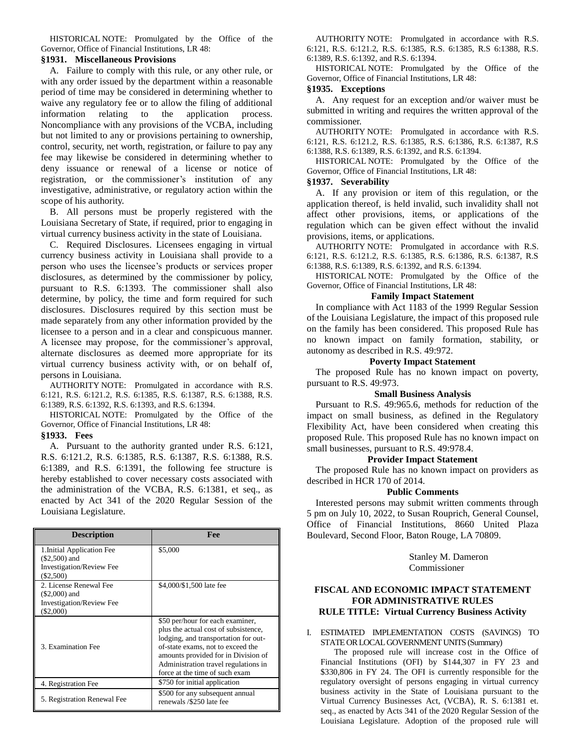HISTORICAL NOTE: Promulgated by the Office of the Governor, Office of Financial Institutions, LR 48:

### **§1931. Miscellaneous Provisions**

A. Failure to comply with this rule, or any other rule, or with any order issued by the department within a reasonable period of time may be considered in determining whether to waive any regulatory fee or to allow the filing of additional information relating to the application process. Noncompliance with any provisions of the VCBA, including but not limited to any or provisions pertaining to ownership, control, security, net worth, registration, or failure to pay any fee may likewise be considered in determining whether to deny issuance or renewal of a license or notice of registration, or the commissioner's institution of any investigative, administrative, or regulatory action within the scope of his authority.

B. All persons must be properly registered with the Louisiana Secretary of State, if required, prior to engaging in virtual currency business activity in the state of Louisiana.

C. Required Disclosures. Licensees engaging in virtual currency business activity in Louisiana shall provide to a person who uses the licensee's products or services proper disclosures, as determined by the commissioner by policy, pursuant to R.S. 6:1393. The commissioner shall also determine, by policy, the time and form required for such disclosures. Disclosures required by this section must be made separately from any other information provided by the licensee to a person and in a clear and conspicuous manner. A licensee may propose, for the commissioner's approval, alternate disclosures as deemed more appropriate for its virtual currency business activity with, or on behalf of, persons in Louisiana.

AUTHORITY NOTE: Promulgated in accordance with R.S. 6:121, R.S. 6:121.2, R.S. 6:1385, R.S. 6:1387, R.S. 6:1388, R.S. 6:1389, R.S. 6:1392, R.S. 6:1393, and R.S. 6:1394.

HISTORICAL NOTE: Promulgated by the Office of the Governor, Office of Financial Institutions, LR 48:

# **§1933. Fees**

A. Pursuant to the authority granted under R.S. 6:121, R.S. 6:121.2, R.S. 6:1385, R.S. 6:1387, R.S. 6:1388, R.S. 6:1389, and R.S. 6:1391, the following fee structure is hereby established to cover necessary costs associated with the administration of the VCBA, R.S. 6:1381, et seq., as enacted by Act 341 of the 2020 Regular Session of the Louisiana Legislature.

| <b>Description</b>              | Fee                                                         |
|---------------------------------|-------------------------------------------------------------|
| 1. Initial Application Fee      | \$5,000                                                     |
| $(\$2,500)$ and                 |                                                             |
| <b>Investigation/Review Fee</b> |                                                             |
| $(\$2,500)$                     |                                                             |
| 2. License Renewal Fee          | \$4,000/\$1,500 late fee                                    |
| $(\$2,000)$ and                 |                                                             |
| Investigation/Review Fee        |                                                             |
| $(\$2,000)$                     |                                                             |
|                                 | \$50 per/hour for each examiner,                            |
| 3. Examination Fee              | plus the actual cost of subsistence,                        |
|                                 | lodging, and transportation for out-                        |
|                                 | of-state exams, not to exceed the                           |
|                                 | amounts provided for in Division of                         |
|                                 | Administration travel regulations in                        |
|                                 | force at the time of such exam                              |
| 4. Registration Fee             | \$750 for initial application                               |
| 5. Registration Renewal Fee     | \$500 for any subsequent annual<br>renewals /\$250 late fee |
|                                 |                                                             |

AUTHORITY NOTE: Promulgated in accordance with R.S. 6:121, R.S. 6:121.2, R.S. 6:1385, R.S. 6:1385, R.S 6:1388, R.S. 6:1389, R.S. 6:1392, and R.S. 6:1394.

HISTORICAL NOTE: Promulgated by the Office of the Governor, Office of Financial Institutions, LR 48:

# **§1935. Exceptions**

A. Any request for an exception and/or waiver must be submitted in writing and requires the written approval of the commissioner.

AUTHORITY NOTE: Promulgated in accordance with R.S. 6:121, R.S. 6:121.2, R.S. 6:1385, R.S. 6:1386, R.S. 6:1387, R.S 6:1388, R.S. 6:1389, R.S. 6:1392, and R.S. 6:1394.

HISTORICAL NOTE: Promulgated by the Office of the Governor, Office of Financial Institutions, LR 48:

### **§1937. Severability**

A. If any provision or item of this regulation, or the application thereof, is held invalid, such invalidity shall not affect other provisions, items, or applications of the regulation which can be given effect without the invalid provisions, items, or applications.

AUTHORITY NOTE: Promulgated in accordance with R.S. 6:121, R.S. 6:121.2, R.S. 6:1385, R.S. 6:1386, R.S. 6:1387, R.S 6:1388, R.S. 6:1389, R.S. 6:1392, and R.S. 6:1394.

HISTORICAL NOTE: Promulgated by the Office of the Governor, Office of Financial Institutions, LR 48:

# **Family Impact Statement**

In compliance with Act 1183 of the 1999 Regular Session of the Louisiana Legislature, the impact of this proposed rule on the family has been considered. This proposed Rule has no known impact on family formation, stability, or autonomy as described in R.S. 49:972.

### **Poverty Impact Statement**

The proposed Rule has no known impact on poverty, pursuant to R.S. 49:973.

#### **Small Business Analysis**

Pursuant to R.S. 49:965.6, methods for reduction of the impact on small business, as defined in the Regulatory Flexibility Act, have been considered when creating this proposed Rule. This proposed Rule has no known impact on small businesses, pursuant to R.S. 49:978.4.

#### **Provider Impact Statement**

The proposed Rule has no known impact on providers as described in HCR 170 of 2014.

# **Public Comments**

Interested persons may submit written comments through 5 pm on July 10, 2022, to Susan Rouprich, General Counsel, Office of Financial Institutions, 8660 United Plaza Boulevard, Second Floor, Baton Rouge, LA 70809.

> Stanley M. Dameron Commissioner

# **FISCAL AND ECONOMIC IMPACT STATEMENT FOR ADMINISTRATIVE RULES RULE TITLE: Virtual Currency Business Activity**

### I. ESTIMATED IMPLEMENTATION COSTS (SAVINGS) TO STATE OR LOCAL GOVERNMENT UNITS (Summary)

The proposed rule will increase cost in the Office of Financial Institutions (OFI) by \$144,307 in FY 23 and \$330,806 in FY 24. The OFI is currently responsible for the regulatory oversight of persons engaging in virtual currency business activity in the State of Louisiana pursuant to the Virtual Currency Businesses Act, (VCBA), R. S. 6:1381 et. seq., as enacted by Acts 341 of the 2020 Regular Session of the Louisiana Legislature. Adoption of the proposed rule will